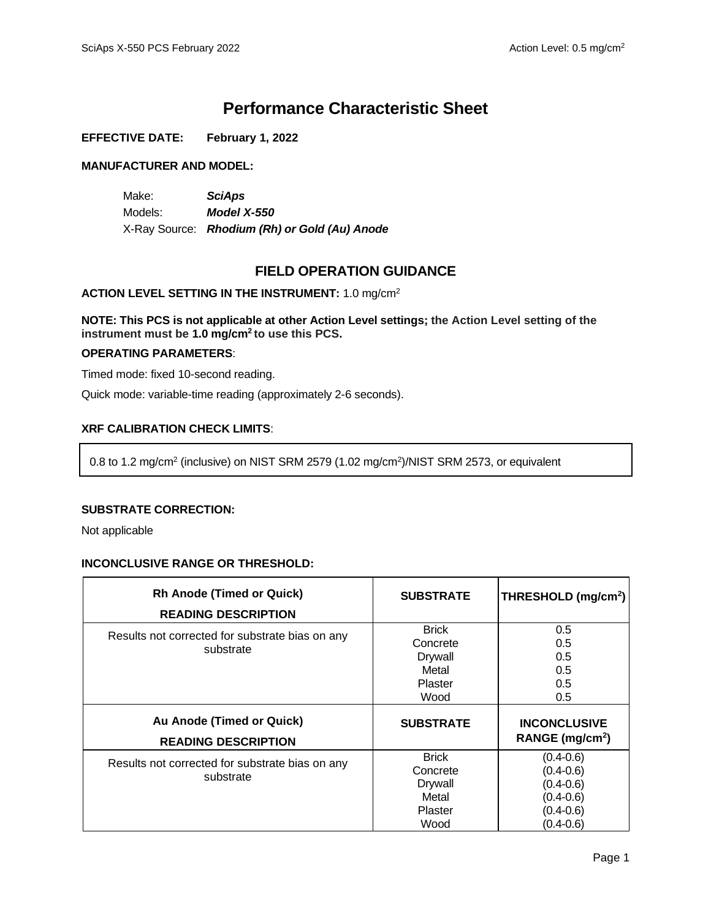# **Performance Characteristic Sheet**

### **EFFECTIVE DATE: February 1, 2022**

### **MANUFACTURER AND MODEL:**

Make: *SciAps* Models: *Model X-550* X-Ray Source: *Rhodium (Rh) or Gold (Au) Anode*

# **FIELD OPERATION GUIDANCE**

### **ACTION LEVEL SETTING IN THE INSTRUMENT:** 1.0 mg/cm<sup>2</sup>

**NOTE: This PCS is not applicable at other Action Level settings; the Action Level setting of the instrument must be 1.0 mg/cm<sup>2</sup> to use this PCS.**

### **OPERATING PARAMETERS**:

Timed mode: fixed 10-second reading.

Quick mode: variable-time reading (approximately 2-6 seconds).

## **XRF CALIBRATION CHECK LIMITS**:

0.8 to 1.2 mg/cm<sup>2</sup> (inclusive) on NIST SRM 2579 (1.02 mg/cm<sup>2</sup> )/NIST SRM 2573, or equivalent

#### **SUBSTRATE CORRECTION:**

Not applicable

#### **INCONCLUSIVE RANGE OR THRESHOLD:**

| <b>Rh Anode (Timed or Quick)</b><br><b>READING DESCRIPTION</b> | <b>SUBSTRATE</b>                                                       | THRESHOLD (mg/cm <sup>2</sup> )                                                                    |
|----------------------------------------------------------------|------------------------------------------------------------------------|----------------------------------------------------------------------------------------------------|
| Results not corrected for substrate bias on any<br>substrate   | <b>Brick</b><br>Concrete<br><b>Drywall</b><br>Metal<br>Plaster<br>Wood | 0.5<br>0.5<br>0.5<br>0.5<br>0.5<br>0.5                                                             |
| Au Anode (Timed or Quick)<br><b>READING DESCRIPTION</b>        | <b>SUBSTRATE</b>                                                       | <b>INCONCLUSIVE</b><br>RANGE (mg/cm <sup>2</sup> )                                                 |
| Results not corrected for substrate bias on any<br>substrate   | <b>Brick</b><br>Concrete<br><b>Drywall</b><br>Metal<br>Plaster<br>Wood | $(0.4 - 0.6)$<br>$(0.4 - 0.6)$<br>$(0.4 - 0.6)$<br>$(0.4 - 0.6)$<br>$(0.4 - 0.6)$<br>$(0.4 - 0.6)$ |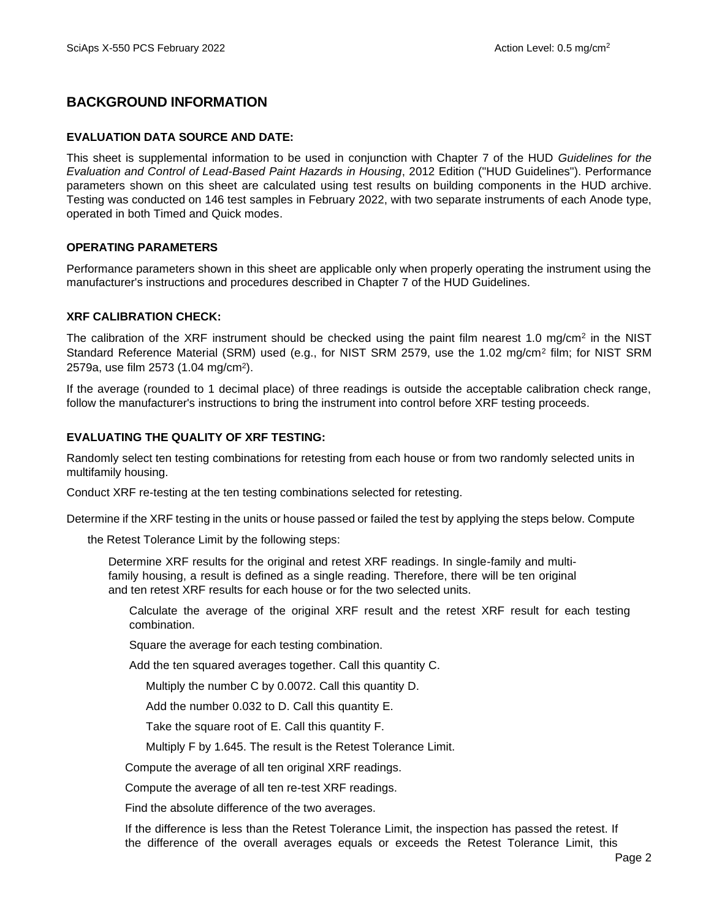# **BACKGROUND INFORMATION**

### **EVALUATION DATA SOURCE AND DATE:**

This sheet is supplemental information to be used in conjunction with Chapter 7 of the HUD *Guidelines for the Evaluation and Control of Lead-Based Paint Hazards in Housing*, 2012 Edition ("HUD Guidelines"). Performance parameters shown on this sheet are calculated using test results on building components in the HUD archive. Testing was conducted on 146 test samples in February 2022, with two separate instruments of each Anode type, operated in both Timed and Quick modes.

### **OPERATING PARAMETERS**

Performance parameters shown in this sheet are applicable only when properly operating the instrument using the manufacturer's instructions and procedures described in Chapter 7 of the HUD Guidelines.

### **XRF CALIBRATION CHECK:**

The calibration of the XRF instrument should be checked using the paint film nearest 1.0 mg/cm<sup>2</sup> in the NIST Standard Reference Material (SRM) used (e.g., for NIST SRM 2579, use the 1.02 mg/cm<sup>2</sup> film; for NIST SRM 2579a, use film 2573 (1.04 mg/cm<sup>2</sup>).

If the average (rounded to 1 decimal place) of three readings is outside the acceptable calibration check range, follow the manufacturer's instructions to bring the instrument into control before XRF testing proceeds.

### **EVALUATING THE QUALITY OF XRF TESTING:**

Randomly select ten testing combinations for retesting from each house or from two randomly selected units in multifamily housing.

Conduct XRF re-testing at the ten testing combinations selected for retesting.

Determine if the XRF testing in the units or house passed or failed the test by applying the steps below. Compute

the Retest Tolerance Limit by the following steps:

Determine XRF results for the original and retest XRF readings. In single-family and multifamily housing, a result is defined as a single reading. Therefore, there will be ten original and ten retest XRF results for each house or for the two selected units.

Calculate the average of the original XRF result and the retest XRF result for each testing combination.

Square the average for each testing combination.

Add the ten squared averages together. Call this quantity C.

Multiply the number C by 0.0072. Call this quantity D.

Add the number 0.032 to D. Call this quantity E.

Take the square root of E. Call this quantity F.

Multiply F by 1.645. The result is the Retest Tolerance Limit.

Compute the average of all ten original XRF readings.

Compute the average of all ten re-test XRF readings.

Find the absolute difference of the two averages.

If the difference is less than the Retest Tolerance Limit, the inspection has passed the retest. If the difference of the overall averages equals or exceeds the Retest Tolerance Limit, this